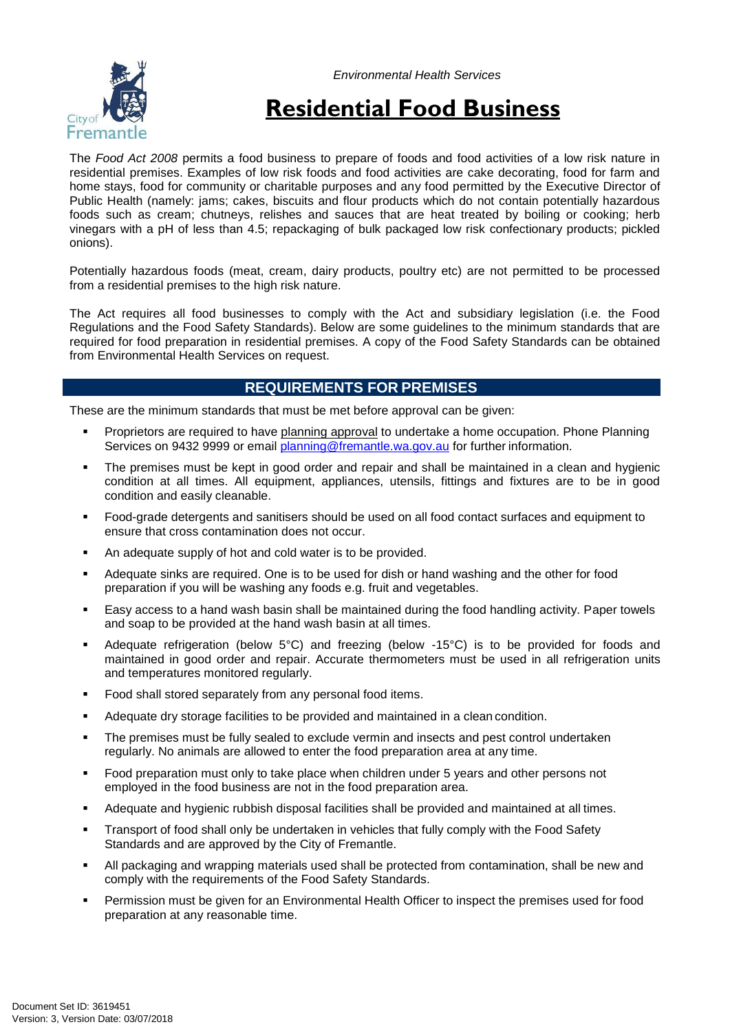*Environmental Health Services*



# **Residential Food Business**

The *Food Act 2008* permits a food business to prepare of foods and food activities of a low risk nature in residential premises. Examples of low risk foods and food activities are cake decorating, food for farm and home stays, food for community or charitable purposes and any food permitted by the Executive Director of Public Health (namely: jams; cakes, biscuits and flour products which do not contain potentially hazardous foods such as cream; chutneys, relishes and sauces that are heat treated by boiling or cooking; herb vinegars with a pH of less than 4.5; repackaging of bulk packaged low risk confectionary products; pickled onions).

Potentially hazardous foods (meat, cream, dairy products, poultry etc) are not permitted to be processed from a residential premises to the high risk nature.

The Act requires all food businesses to comply with the Act and subsidiary legislation (i.e. the Food Regulations and the Food Safety Standards). Below are some guidelines to the minimum standards that are required for food preparation in residential premises. A copy of the Food Safety Standards can be obtained from Environmental Health Services on request.

## **REQUIREMENTS FOR PREMISES**

These are the minimum standards that must be met before approval can be given:

- Proprietors are required to have planning approval to undertake a home occupation. Phone Planning Services on 9432 9999 or email [planning@fremantle.wa.gov.au](mailto:planning@fremantle.wa.gov.au) for further information.
- The premises must be kept in good order and repair and shall be maintained in a clean and hygienic condition at all times. All equipment, appliances, utensils, fittings and fixtures are to be in good condition and easily cleanable.
- Food-grade detergents and sanitisers should be used on all food contact surfaces and equipment to ensure that cross contamination does not occur.
- An adequate supply of hot and cold water is to be provided.
- Adequate sinks are required. One is to be used for dish or hand washing and the other for food preparation if you will be washing any foods e.g. fruit and vegetables.
- Easy access to a hand wash basin shall be maintained during the food handling activity. Paper towels and soap to be provided at the hand wash basin at all times.
- Adequate refrigeration (below  $5^{\circ}$ C) and freezing (below -15 $^{\circ}$ C) is to be provided for foods and maintained in good order and repair. Accurate thermometers must be used in all refrigeration units and temperatures monitored regularly.
- Food shall stored separately from any personal food items.
- Adequate dry storage facilities to be provided and maintained in a clean condition.
- The premises must be fully sealed to exclude vermin and insects and pest control undertaken regularly. No animals are allowed to enter the food preparation area at any time.
- Food preparation must only to take place when children under 5 years and other persons not employed in the food business are not in the food preparation area.
- Adequate and hygienic rubbish disposal facilities shall be provided and maintained at all times.
- Transport of food shall only be undertaken in vehicles that fully comply with the Food Safety Standards and are approved by the City of Fremantle.
- All packaging and wrapping materials used shall be protected from contamination, shall be new and comply with the requirements of the Food Safety Standards.
- Permission must be given for an Environmental Health Officer to inspect the premises used for food preparation at any reasonable time.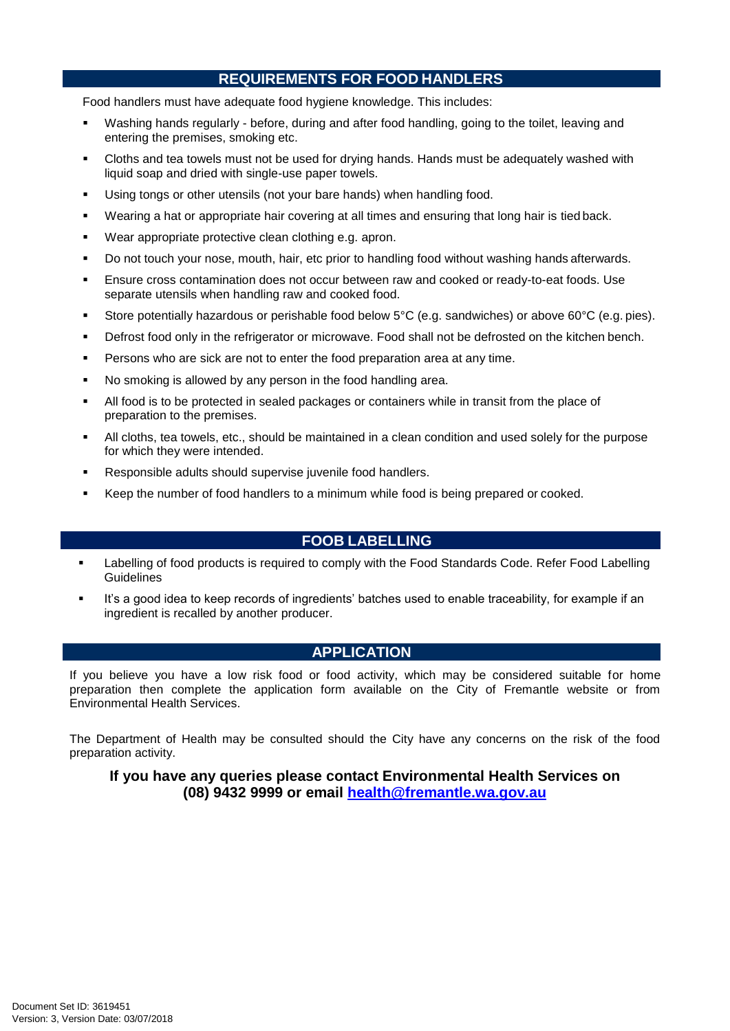# **REQUIREMENTS FOR FOOD HANDLERS**

Food handlers must have adequate food hygiene knowledge. This includes:

- Washing hands regularly before, during and after food handling, going to the toilet, leaving and entering the premises, smoking etc.
- Cloths and tea towels must not be used for drying hands. Hands must be adequately washed with liquid soap and dried with single-use paper towels.
- Using tongs or other utensils (not your bare hands) when handling food.
- Wearing a hat or appropriate hair covering at all times and ensuring that long hair is tied back.
- Wear appropriate protective clean clothing e.g. apron.
- Do not touch your nose, mouth, hair, etc prior to handling food without washing hands afterwards.
- Ensure cross contamination does not occur between raw and cooked or ready-to-eat foods. Use separate utensils when handling raw and cooked food.
- Store potentially hazardous or perishable food below 5°C (e.g. sandwiches) or above 60°C (e.g. pies).
- Defrost food only in the refrigerator or microwave. Food shall not be defrosted on the kitchen bench.
- Persons who are sick are not to enter the food preparation area at any time.
- No smoking is allowed by any person in the food handling area.
- All food is to be protected in sealed packages or containers while in transit from the place of preparation to the premises.
- All cloths, tea towels, etc., should be maintained in a clean condition and used solely for the purpose for which they were intended.
- Responsible adults should supervise juvenile food handlers.
- Keep the number of food handlers to a minimum while food is being prepared or cooked.

## **FOOB LABELLING**

- Labelling of food products is required to comply with the Food Standards Code. Refer Food Labelling **Guidelines**
- It's a good idea to keep records of ingredients' batches used to enable traceability, for example if an ingredient is recalled by another producer.

### **APPLICATION**

If you believe you have a low risk food or food activity, which may be considered suitable for home preparation then complete the application form available on the City of Fremantle website or from Environmental Health Services.

The Department of Health may be consulted should the City have any concerns on the risk of the food preparation activity.

### **If you have any queries please contact Environmental Health Services on (08) 9432 9999 or email [health@fremantle.wa.gov.au](mailto:health@fremantle.wa.gov.au)**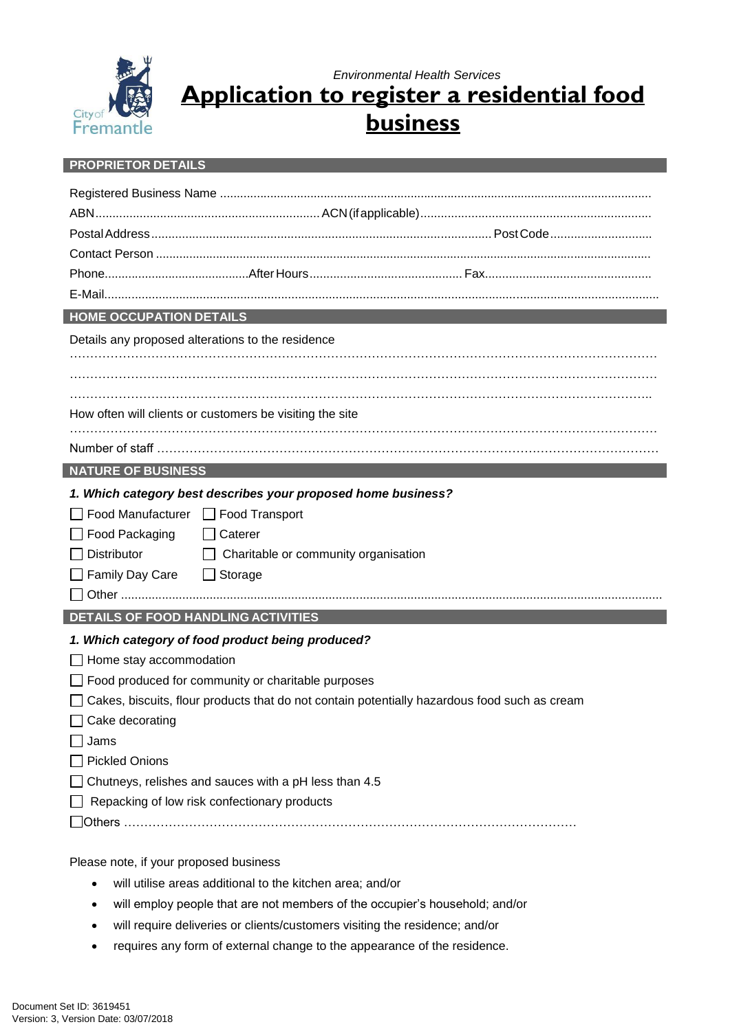

*Environmental Health Services* **Application to register a residential food**

**business**

#### **PROPRIETOR DETAILS**

| <b>HOME OCCUPATION DETAILS</b>                                                               |  |  |
|----------------------------------------------------------------------------------------------|--|--|
| Details any proposed alterations to the residence                                            |  |  |
|                                                                                              |  |  |
|                                                                                              |  |  |
|                                                                                              |  |  |
| How often will clients or customers be visiting the site                                     |  |  |
|                                                                                              |  |  |
| <b>NATURE OF BUSINESS</b>                                                                    |  |  |
| 1. Which category best describes your proposed home business?                                |  |  |
| Food Manufacturer   Food Transport                                                           |  |  |
| Food Packaging<br>$\Box$ Caterer                                                             |  |  |
| <b>Distributor</b><br>$\Box$ Charitable or community organisation                            |  |  |
| Family Day Care<br>$\Box$ Storage                                                            |  |  |
|                                                                                              |  |  |
| <b>DETAILS OF FOOD HANDLING ACTIVITIES</b>                                                   |  |  |
| 1. Which category of food product being produced?                                            |  |  |
| Home stay accommodation                                                                      |  |  |
| Food produced for community or charitable purposes                                           |  |  |
| Cakes, biscuits, flour products that do not contain potentially hazardous food such as cream |  |  |
| Cake decorating                                                                              |  |  |
| Jams                                                                                         |  |  |
| <b>Pickled Onions</b>                                                                        |  |  |
| Chutneys, relishes and sauces with a pH less than 4.5                                        |  |  |
| Repacking of low risk confectionary products                                                 |  |  |
|                                                                                              |  |  |
|                                                                                              |  |  |

Please note, if your proposed business

- will utilise areas additional to the kitchen area; and/or
- will employ people that are not members of the occupier's household; and/or
- will require deliveries or clients/customers visiting the residence; and/or
- requires any form of external change to the appearance of the residence.